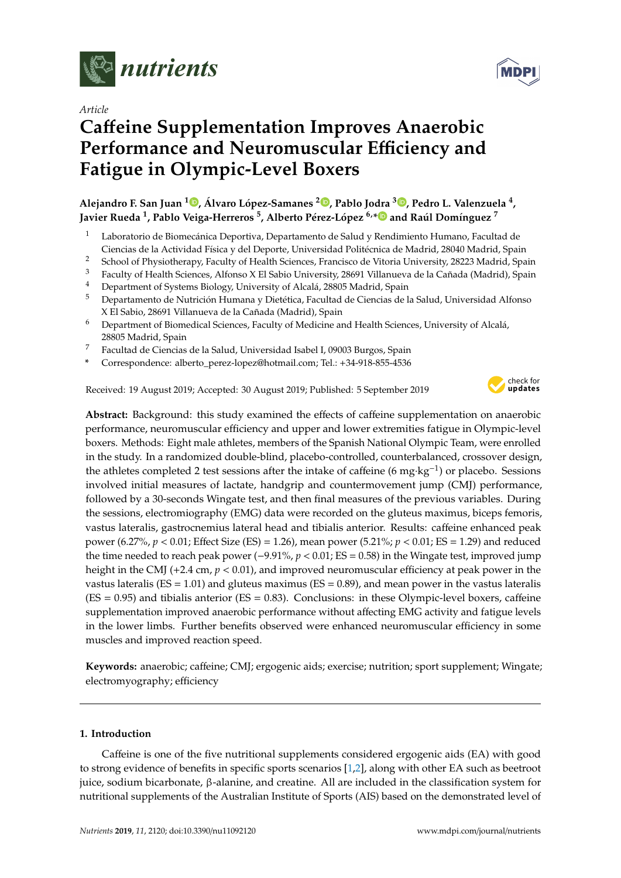

*Article*

# **Ca**ff**eine Supplementation Improves Anaerobic Performance and Neuromuscular E**ffi**ciency and Fatigue in Olympic-Level Boxers**

**Alejandro F. San Juan <sup>1</sup> [,](https://orcid.org/0000-0002-7083-7610) Álvaro López-Samanes <sup>2</sup> [,](https://orcid.org/0000-0003-0721-0150) Pablo Jodra <sup>3</sup> [,](https://orcid.org/0000-0003-3331-8464) Pedro L. Valenzuela <sup>4</sup> , Javier Rueda <sup>1</sup> , Pablo Veiga-Herreros <sup>5</sup> , Alberto Pérez-López 6,[\\*](https://orcid.org/0000-0003-0220-6240) and Raúl Domínguez <sup>7</sup>**

- <sup>1</sup> Laboratorio de Biomecánica Deportiva, Departamento de Salud y Rendimiento Humano, Facultad de Ciencias de la Actividad Física y del Deporte, Universidad Politécnica de Madrid, 28040 Madrid, Spain
- <sup>2</sup> School of Physiotherapy, Faculty of Health Sciences, Francisco de Vitoria University, 28223 Madrid, Spain<br><sup>3</sup> Easylty of Health Sciences, Alfonso X El Sobie University, 28601 Villanuaux de la Ceñada (Madrid), Spain
- <sup>3</sup> Faculty of Health Sciences, Alfonso X El Sabio University, 28691 Villanueva de la Cañada (Madrid), Spain
- <sup>4</sup> Department of Systems Biology, University of Alcalá, 28805 Madrid, Spain
- <sup>5</sup> Departamento de Nutrición Humana y Dietética, Facultad de Ciencias de la Salud, Universidad Alfonso X El Sabio, 28691 Villanueva de la Cañada (Madrid), Spain
- <sup>6</sup> Department of Biomedical Sciences, Faculty of Medicine and Health Sciences, University of Alcalá, 28805 Madrid, Spain
- <sup>7</sup> Facultad de Ciencias de la Salud, Universidad Isabel I, 09003 Burgos, Spain
- **\*** Correspondence: alberto\_perez-lopez@hotmail.com; Tel.: +34-918-855-4536

Received: 19 August 2019; Accepted: 30 August 2019; Published: 5 September 2019



**MDP** 

**Abstract:** Background: this study examined the effects of caffeine supplementation on anaerobic performance, neuromuscular efficiency and upper and lower extremities fatigue in Olympic-level boxers. Methods: Eight male athletes, members of the Spanish National Olympic Team, were enrolled in the study. In a randomized double-blind, placebo-controlled, counterbalanced, crossover design, the athletes completed 2 test sessions after the intake of caffeine (6 mg·kg−<sup>1</sup> ) or placebo. Sessions involved initial measures of lactate, handgrip and countermovement jump (CMJ) performance, followed by a 30-seconds Wingate test, and then final measures of the previous variables. During the sessions, electromiography (EMG) data were recorded on the gluteus maximus, biceps femoris, vastus lateralis, gastrocnemius lateral head and tibialis anterior. Results: caffeine enhanced peak power (6.27%, *p* < 0.01; Effect Size (ES) = 1.26), mean power (5.21%; *p* < 0.01; ES = 1.29) and reduced the time needed to reach peak power (−9.91%, *p* < 0.01; ES = 0.58) in the Wingate test, improved jump height in the CMJ (+2.4 cm, *p* < 0.01), and improved neuromuscular efficiency at peak power in the vastus lateralis ( $ES = 1.01$ ) and gluteus maximus ( $ES = 0.89$ ), and mean power in the vastus lateralis  $(ES = 0.95)$  and tibialis anterior  $(ES = 0.83)$ . Conclusions: in these Olympic-level boxers, caffeine supplementation improved anaerobic performance without affecting EMG activity and fatigue levels in the lower limbs. Further benefits observed were enhanced neuromuscular efficiency in some muscles and improved reaction speed.

**Keywords:** anaerobic; caffeine; CMJ; ergogenic aids; exercise; nutrition; sport supplement; Wingate; electromyography; efficiency

## **1. Introduction**

Caffeine is one of the five nutritional supplements considered ergogenic aids (EA) with good to strong evidence of benefits in specific sports scenarios [\[1](#page-11-0)[,2\]](#page-11-1), along with other EA such as beetroot juice, sodium bicarbonate, β-alanine, and creatine. All are included in the classification system for nutritional supplements of the Australian Institute of Sports (AIS) based on the demonstrated level of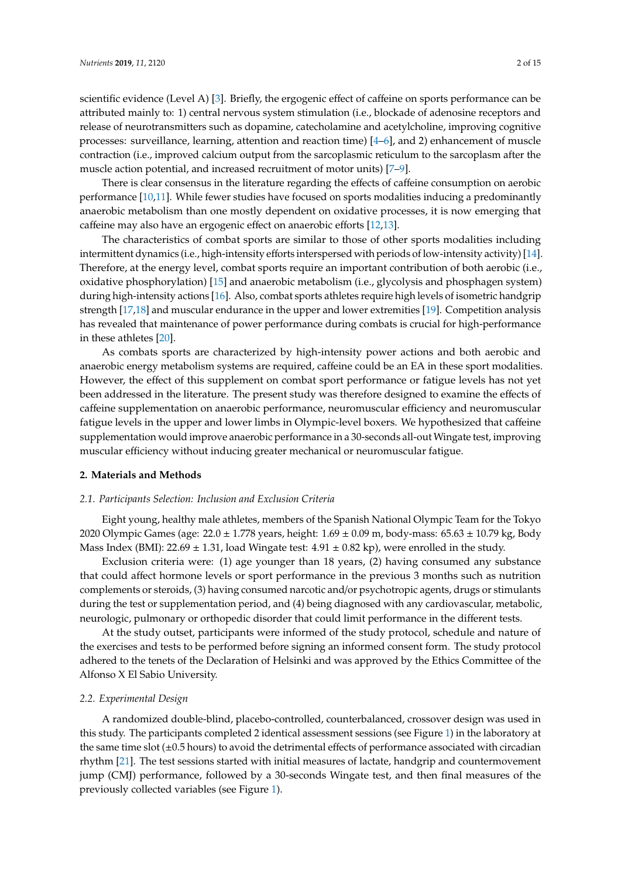scientific evidence (Level A) [\[3\]](#page-11-2). Briefly, the ergogenic effect of caffeine on sports performance can be attributed mainly to: 1) central nervous system stimulation (i.e., blockade of adenosine receptors and release of neurotransmitters such as dopamine, catecholamine and acetylcholine, improving cognitive processes: surveillance, learning, attention and reaction time) [\[4](#page-11-3)[–6\]](#page-11-4), and 2) enhancement of muscle contraction (i.e., improved calcium output from the sarcoplasmic reticulum to the sarcoplasm after the muscle action potential, and increased recruitment of motor units) [\[7](#page-11-5)[–9\]](#page-11-6).

There is clear consensus in the literature regarding the effects of caffeine consumption on aerobic performance [\[10](#page-12-0)[,11\]](#page-12-1). While fewer studies have focused on sports modalities inducing a predominantly anaerobic metabolism than one mostly dependent on oxidative processes, it is now emerging that caffeine may also have an ergogenic effect on anaerobic efforts [\[12](#page-12-2)[,13\]](#page-12-3).

The characteristics of combat sports are similar to those of other sports modalities including intermittent dynamics (i.e., high-intensity efforts interspersed with periods of low-intensity activity) [\[14\]](#page-12-4). Therefore, at the energy level, combat sports require an important contribution of both aerobic (i.e., oxidative phosphorylation) [\[15\]](#page-12-5) and anaerobic metabolism (i.e., glycolysis and phosphagen system) during high-intensity actions [\[16\]](#page-12-6). Also, combat sports athletes require high levels of isometric handgrip strength [\[17,](#page-12-7)[18\]](#page-12-8) and muscular endurance in the upper and lower extremities [\[19\]](#page-12-9). Competition analysis has revealed that maintenance of power performance during combats is crucial for high-performance in these athletes [\[20\]](#page-12-10).

As combats sports are characterized by high-intensity power actions and both aerobic and anaerobic energy metabolism systems are required, caffeine could be an EA in these sport modalities. However, the effect of this supplement on combat sport performance or fatigue levels has not yet been addressed in the literature. The present study was therefore designed to examine the effects of caffeine supplementation on anaerobic performance, neuromuscular efficiency and neuromuscular fatigue levels in the upper and lower limbs in Olympic-level boxers. We hypothesized that caffeine supplementation would improve anaerobic performance in a 30-seconds all-out Wingate test, improving muscular efficiency without inducing greater mechanical or neuromuscular fatigue.

#### **2. Materials and Methods**

#### *2.1. Participants Selection: Inclusion and Exclusion Criteria*

Eight young, healthy male athletes, members of the Spanish National Olympic Team for the Tokyo 2020 Olympic Games (age:  $22.0 \pm 1.778$  years, height:  $1.69 \pm 0.09$  m, body-mass:  $65.63 \pm 10.79$  kg, Body Mass Index (BMI): 22.69  $\pm$  1.31, load Wingate test: 4.91  $\pm$  0.82 kp), were enrolled in the study.

Exclusion criteria were: (1) age younger than 18 years, (2) having consumed any substance that could affect hormone levels or sport performance in the previous 3 months such as nutrition complements or steroids, (3) having consumed narcotic and/or psychotropic agents, drugs or stimulants during the test or supplementation period, and (4) being diagnosed with any cardiovascular, metabolic, neurologic, pulmonary or orthopedic disorder that could limit performance in the different tests.

At the study outset, participants were informed of the study protocol, schedule and nature of the exercises and tests to be performed before signing an informed consent form. The study protocol adhered to the tenets of the Declaration of Helsinki and was approved by the Ethics Committee of the Alfonso X El Sabio University.

#### *2.2. Experimental Design*

A randomized double-blind, placebo-controlled, counterbalanced, crossover design was used in this study. The participants completed 2 identical assessment sessions (see Figure [1\)](#page-2-0) in the laboratory at the same time slot  $(\pm 0.5$  hours) to avoid the detrimental effects of performance associated with circadian rhythm [\[21\]](#page-12-11). The test sessions started with initial measures of lactate, handgrip and countermovement jump (CMJ) performance, followed by a 30-seconds Wingate test, and then final measures of the previously collected variables (see Figure [1\)](#page-2-0).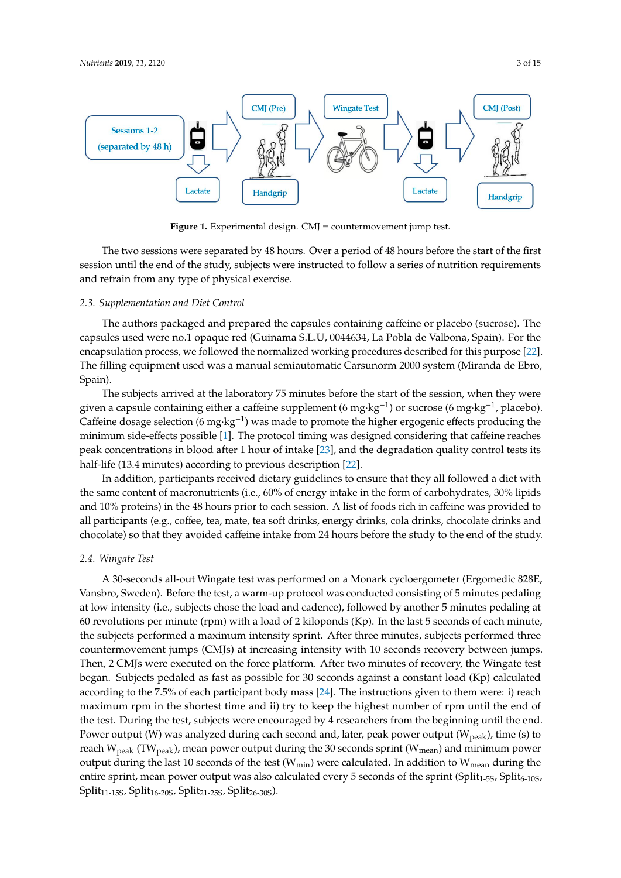<span id="page-2-0"></span>

**Figure 1.** Experimental design. CMJ = countermovement jump test. **Figure 1.** Experimental design. CMJ = countermovement jump test.

*2.3. Supplementation and Diet Control*  The two sessions were separated by 48 hours. Over a period of 48 hours before the start of the first session until the end of the study, subjects were instructed to follow a series of nutrition requirements<br>see hadrein from sometime of the study consistent and refrain from any type of physical exercise.

# 2.3. Supplementation and Diet Control

[22]. The filling equipment used was a manual semiautomatic Carsunorm 2000 system (Miranda de The authors packaged and prepared the capsules containing caffeine or placebo (sucrose). The capsules used were no.1 opaque red (Guinama S.L.U, 0044634, La Pobla de Valbona, Spain). For the encapsulation process, we followed the normalized working procedures described for this purpose [\[22\]](#page-12-12). The filling equipment used was a manual semiautomatic Carsunorm 2000 system (Miranda de Ebro,  $p$ minimum side-effects possible  $\mathcal{I}$ . The protocol timing was designed considering that caffeine reaches reaches reaches  $\mathcal{I}$ Spain).

The subjects arrived at the laboratory 75 minutes before the start of the session, when they were given a capsule containing either a caffeine supplement (6 mg·kg<sup>-1</sup>) or sucrose (6 mg·kg<sup>-1</sup>, placebo). Caffeine dosage selection (6 mg·kg<sup>-1</sup>) was made to promote the higher ergogenic effects producing the minimum side-effects possible [\[1\]](#page-11-0). The protocol timing was designed considering that caffeine reaches peak concentrations in blood after 1 hour of intake [\[23\]](#page-12-13), and the degradation quality control tests its provided to all the degradation quality control tests its half-life (13.4 minutes) according to previous description [\[22\]](#page-12-12).

In addition, participants received dietary guidelines to ensure that they all followed a diet with *2.4. Wingate Test*  and 10% proteins) in the 48 hours prior to each session. A list of foods rich in caffeine was provided to chocolate) so that they avoided caffeine intake from 24 hours before the study to the end of the study. Vansbro, Sweden). Before the test, a warm-up protocol was conducted consisting of 5 minutes the same content of macronutrients (i.e., 60% of energy intake in the form of carbohydrates, 30% lipids all participants (e.g., coffee, tea, mate, tea soft drinks, energy drinks, cola drinks, chocolate drinks and

### pedaling at low intensity (i.e., subjects chose the load and cadence), followed by another 5 minutes *2.4. Wingate Test*

A 30-seconds all-out Wingate test was performed on a Monark cycloergometer (Ergomedic 828E, Vansbro, Sweden). Before the test, a warm-up protocol was conducted consisting of 5 minutes pedaling vansero, sweeting. Before the test, a warm up protector was contacted consisting or o minutes pedaling at low intensity (i.e., subjects chose the load and cadence), followed by another 5 minutes pedaling at at fow michary (i.e., subjects chose the four that characteric), followed by underted by minutes pedamig at 60 revolutions per minute (rpm) with a load of 2 kiloponds (Kp). In the last 5 seconds of each minute, the subjects performed a maximum intensity sprint. After three minutes, subjects performed three calculated according to the 7.5% of the 7.5% of the 7.5% of each participant body countermovement jumps (CMJs) at increasing intensity with 10 seconds recovery between jumps. to anterino venterity famps (emps) at increasing intensity with to seconds recovery setween jamps.<br>Then, 2 CMJs were executed on the force platform. After two minutes of recovery, the Wingate test began. Subjects pedaled as fast as possible for 30 seconds against a constant load (Kp) calculated by 4 researchers from the total straight a constant load (Kp) calculated began. Bubjects pedaled as hast as possible for 50 seconds against a constant fold (Fig. ) each according to the 7.5% of each participant body mass [\[24\]](#page-12-14). The instructions given to them were: i) reach maximum rpm in the shortest time and ii) try to keep the highest number of rpm until the end of the test. During the test, subjects were encouraged by 4 researchers from the beginning until the end. and  $\cos$ . But the error subjects were encouraged by a researchers from the beginning than the error. Power output (W) was analyzed during each second and, later, peak power output (W<sub>peak</sub>), time (s) to  $1.1$  M *2.5. Electromyographic Assessment*  output during the last 10 seconds of the test (Wmin) were calculated. In addition to Wmean during the reach  $W_{\text{peak}}$  (T $W_{\text{peak}}$ ), mean power output during the 30 seconds sprint ( $W_{\text{mean}}$ ) and minimum power entire sprint, mean power output was also calculated every 5 seconds of the sprint (Split<sub>1-5S</sub>, Split<sub>6-10S</sub>, Split<sub>11-15S</sub>, Split<sub>16-20S</sub>, Split<sub>21-25S</sub>, Split<sub>26-30S</sub>).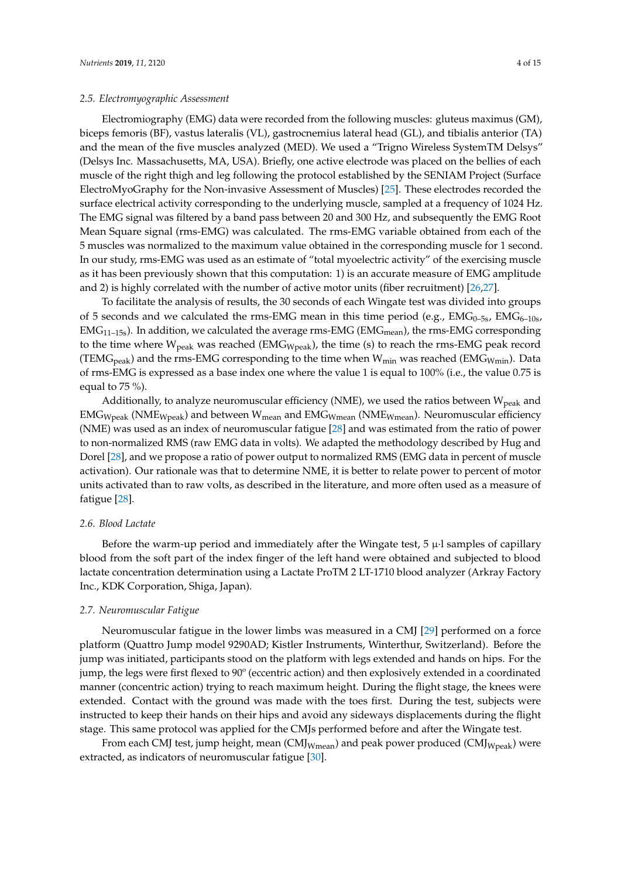Electromiography (EMG) data were recorded from the following muscles: gluteus maximus (GM), biceps femoris (BF), vastus lateralis (VL), gastrocnemius lateral head (GL), and tibialis anterior (TA) and the mean of the five muscles analyzed (MED). We used a "Trigno Wireless SystemTM Delsys" (Delsys Inc. Massachusetts, MA, USA). Briefly, one active electrode was placed on the bellies of each muscle of the right thigh and leg following the protocol established by the SENIAM Project (Surface ElectroMyoGraphy for the Non-invasive Assessment of Muscles) [\[25\]](#page-12-15). These electrodes recorded the surface electrical activity corresponding to the underlying muscle, sampled at a frequency of 1024 Hz. The EMG signal was filtered by a band pass between 20 and 300 Hz, and subsequently the EMG Root Mean Square signal (rms-EMG) was calculated. The rms-EMG variable obtained from each of the 5 muscles was normalized to the maximum value obtained in the corresponding muscle for 1 second. In our study, rms-EMG was used as an estimate of "total myoelectric activity" of the exercising muscle as it has been previously shown that this computation: 1) is an accurate measure of EMG amplitude and 2) is highly correlated with the number of active motor units (fiber recruitment) [\[26](#page-12-16)[,27\]](#page-12-17).

To facilitate the analysis of results, the 30 seconds of each Wingate test was divided into groups of 5 seconds and we calculated the rms-EMG mean in this time period (e.g.,  $EMG<sub>0-5s</sub>$ ,  $EMG<sub>6-10s</sub>$ ,  $EMG<sub>11–15s</sub>$ ). In addition, we calculated the average rms-EMG (EMG<sub>mean</sub>), the rms-EMG corresponding to the time where  $W_{peak}$  was reached (EMG<sub>Wpeak</sub>), the time (s) to reach the rms-EMG peak record (TEMG<sub>peak</sub>) and the rms-EMG corresponding to the time when  $W_{min}$  was reached (EMG<sub>Wmin</sub>). Data of rms-EMG is expressed as a base index one where the value 1 is equal to 100% (i.e., the value 0.75 is equal to 75 %).

Additionally, to analyze neuromuscular efficiency (NME), we used the ratios between  $W_{peak}$  and  $EMG_{Wpeak}$  (NME<sub>Wpeak</sub>) and between W<sub>mean</sub> and  $EMG_{Wmean}$  (NME<sub>Wmean</sub>). Neuromuscular efficiency (NME) was used as an index of neuromuscular fatigue [\[28\]](#page-12-18) and was estimated from the ratio of power to non-normalized RMS (raw EMG data in volts). We adapted the methodology described by Hug and Dorel [\[28\]](#page-12-18), and we propose a ratio of power output to normalized RMS (EMG data in percent of muscle activation). Our rationale was that to determine NME, it is better to relate power to percent of motor units activated than to raw volts, as described in the literature, and more often used as a measure of fatigue [\[28\]](#page-12-18).

#### *2.6. Blood Lactate*

Before the warm-up period and immediately after the Wingate test,  $5 \mu$  samples of capillary blood from the soft part of the index finger of the left hand were obtained and subjected to blood lactate concentration determination using a Lactate ProTM 2 LT-1710 blood analyzer (Arkray Factory Inc., KDK Corporation, Shiga, Japan).

#### *2.7. Neuromuscular Fatigue*

Neuromuscular fatigue in the lower limbs was measured in a CMJ [\[29\]](#page-12-19) performed on a force platform (Quattro Jump model 9290AD; Kistler Instruments, Winterthur, Switzerland). Before the jump was initiated, participants stood on the platform with legs extended and hands on hips. For the jump, the legs were first flexed to 90º (eccentric action) and then explosively extended in a coordinated manner (concentric action) trying to reach maximum height. During the flight stage, the knees were extended. Contact with the ground was made with the toes first. During the test, subjects were instructed to keep their hands on their hips and avoid any sideways displacements during the flight stage. This same protocol was applied for the CMJs performed before and after the Wingate test.

From each CMJ test, jump height, mean  $\text{(CMJ_{Wmean})}$  and peak power produced  $\text{(CMJ_{Wpeak})}$  were extracted, as indicators of neuromuscular fatigue [\[30\]](#page-12-20).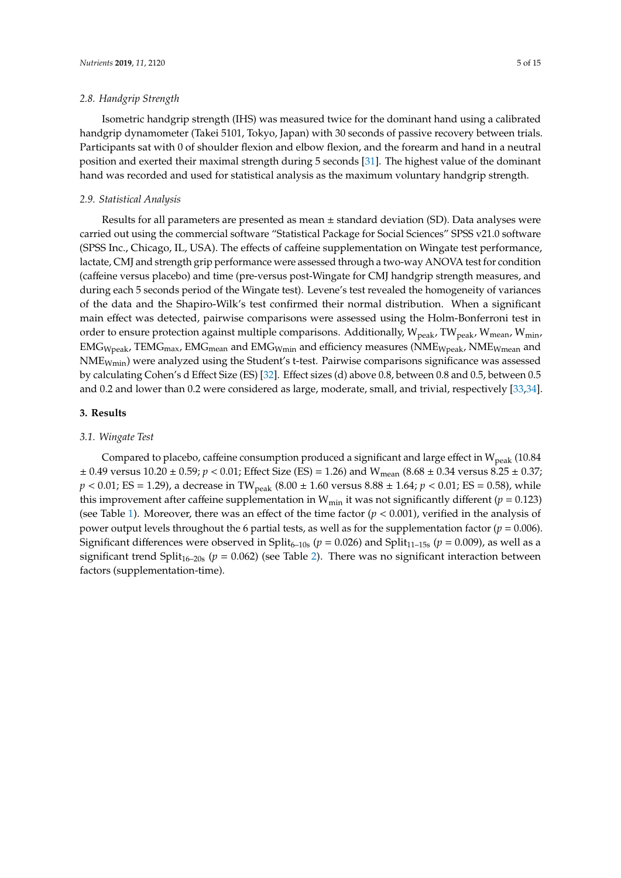#### *2.8. Handgrip Strength*

Isometric handgrip strength (IHS) was measured twice for the dominant hand using a calibrated handgrip dynamometer (Takei 5101, Tokyo, Japan) with 30 seconds of passive recovery between trials. Participants sat with 0 of shoulder flexion and elbow flexion, and the forearm and hand in a neutral position and exerted their maximal strength during 5 seconds [\[31\]](#page-12-21). The highest value of the dominant hand was recorded and used for statistical analysis as the maximum voluntary handgrip strength.

#### *2.9. Statistical Analysis*

Results for all parameters are presented as mean  $\pm$  standard deviation (SD). Data analyses were carried out using the commercial software "Statistical Package for Social Sciences" SPSS v21.0 software (SPSS Inc., Chicago, IL, USA). The effects of caffeine supplementation on Wingate test performance, lactate, CMJ and strength grip performance were assessed through a two-way ANOVA test for condition (caffeine versus placebo) and time (pre-versus post-Wingate for CMJ handgrip strength measures, and during each 5 seconds period of the Wingate test). Levene's test revealed the homogeneity of variances of the data and the Shapiro-Wilk's test confirmed their normal distribution. When a significant main effect was detected, pairwise comparisons were assessed using the Holm-Bonferroni test in order to ensure protection against multiple comparisons. Additionally,  $W_{peak}$ , TW<sub>peak</sub>, W<sub>mean</sub>, W<sub>min</sub>,  $EMG_{Wpeak}$ , TEM $G_{max}$ , EM $G_{mean}$  and EM $G_{Wmin}$  and efficiency measures (NME $_{Wpeak}$ , NME $_{Wmean}$  and NMEWmin) were analyzed using the Student's t-test. Pairwise comparisons significance was assessed by calculating Cohen's d Effect Size (ES) [\[32\]](#page-12-22). Effect sizes (d) above 0.8, between 0.8 and 0.5, between 0.5 and 0.2 and lower than 0.2 were considered as large, moderate, small, and trivial, respectively [\[33,](#page-12-23)[34\]](#page-12-24).

#### **3. Results**

#### *3.1. Wingate Test*

Compared to placebo, caffeine consumption produced a significant and large effect in  $W_{peak}$  (10.84  $\pm$  0.49 versus 10.20  $\pm$  0.59; *p* < 0.01; Effect Size (ES) = 1.26) and W<sub>mean</sub> (8.68  $\pm$  0.34 versus 8.25  $\pm$  0.37;  $p < 0.01$ ; ES = 1.29), a decrease in TW<sub>peak</sub> (8.00  $\pm$  1.60 versus 8.88  $\pm$  1.64;  $p < 0.01$ ; ES = 0.58), while this improvement after caffeine supplementation in  $W_{min}$  it was not significantly different ( $p = 0.123$ ) (see Table [1\)](#page-5-0). Moreover, there was an effect of the time factor  $(p < 0.001)$ , verified in the analysis of power output levels throughout the 6 partial tests, as well as for the supplementation factor (*p* = 0.006). Significant differences were observed in Split<sub>6–10s</sub> ( $p = 0.026$ ) and Split<sub>11–15s</sub> ( $p = 0.009$ ), as well as a significant trend Split<sub>16–20s</sub> ( $p = 0.062$ ) (see Table [2\)](#page-6-0). There was no significant interaction between factors (supplementation-time).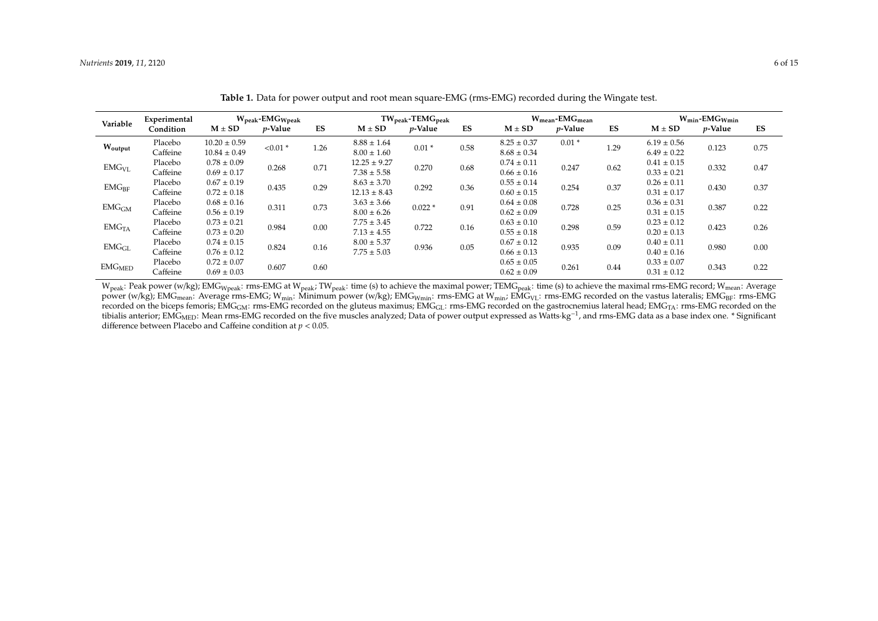|                    | $W_{\text{peak}}$ -EMG $_{\text{Wpeak}}$<br>Experimental |                  |                 |      | $TW_{peak}$ -TEM $G_{peak}$ |                 |      | $W_{mean}$ -EM $G_{mean}$ |                 |      | $W_{\text{min}}$ -EMG $_{W_{\text{min}}}$ |                 |      |
|--------------------|----------------------------------------------------------|------------------|-----------------|------|-----------------------------|-----------------|------|---------------------------|-----------------|------|-------------------------------------------|-----------------|------|
| Variable           | Condition                                                | $M \pm SD$       | <i>p</i> -Value | ES   | $M \pm SD$                  | <i>p</i> -Value | ES   | $M \pm SD$                | <i>p</i> -Value | ES   | $M \pm SD$                                | <i>p</i> -Value | ES   |
| Woutput            | Placebo                                                  | $10.20 \pm 0.59$ | $< 0.01$ *      | 1.26 | $8.88 \pm 1.64$             | $0.01*$         | 0.58 | $8.25 \pm 0.37$           | $0.01*$         | 1.29 | $6.19 \pm 0.56$                           | 0.123           | 0.75 |
|                    | Caffeine                                                 | $10.84 \pm 0.49$ |                 |      | $8.00 \pm 1.60$             |                 |      | $8.68 \pm 0.34$           |                 |      | $6.49 \pm 0.22$                           |                 |      |
| $EMG_{VL}$         | Placebo                                                  | $0.78 \pm 0.09$  | 0.268           | 0.71 | $12.25 \pm 9.27$            | 0.270           | 0.68 | $0.74 \pm 0.11$           | 0.247           | 0.62 | $0.41 \pm 0.15$                           | 0.332           | 0.47 |
|                    | Caffeine                                                 | $0.69 \pm 0.17$  |                 |      | $7.38 \pm 5.58$             |                 |      | $0.66 \pm 0.16$           |                 |      | $0.33 \pm 0.21$                           |                 |      |
| $EMG_{BF}$         | Placebo                                                  | $0.67 \pm 0.19$  | 0.435           | 0.29 | $8.63 \pm 3.70$             | 0.292           | 0.36 | $0.55 \pm 0.14$           | 0.254           | 0.37 | $0.26 \pm 0.11$                           | 0.430           |      |
|                    | Caffeine                                                 | $0.72 \pm 0.18$  |                 |      | $12.13 \pm 8.43$            |                 |      | $0.60 \pm 0.15$           |                 |      | $0.31 \pm 0.17$                           |                 | 0.37 |
| EMG <sub>GM</sub>  | Placebo                                                  | $0.68 \pm 0.16$  | 0.311           | 0.73 | $3.63 \pm 3.66$             | $0.022*$        | 0.91 | $0.64 \pm 0.08$           | 0.728           | 0.25 | $0.36 \pm 0.31$                           | 0.387           | 0.22 |
|                    | Caffeine                                                 | $0.56 \pm 0.19$  |                 |      | $8.00 \pm 6.26$             |                 |      | $0.62 \pm 0.09$           |                 |      | $0.31 \pm 0.15$                           |                 |      |
| EMG <sub>TA</sub>  | Placebo                                                  | $0.73 \pm 0.21$  | 0.984           | 0.00 | $7.75 \pm 3.45$             | 0.722           | 0.16 | $0.63 \pm 0.10$           | 0.298           | 0.59 | $0.23 \pm 0.12$                           | 0.423           |      |
|                    | Caffeine                                                 | $0.73 \pm 0.20$  |                 |      | $7.13 \pm 4.55$             |                 |      | $0.55 \pm 0.18$           |                 |      | $0.20 \pm 0.13$                           |                 | 0.26 |
| EMG <sub>GL</sub>  | Placebo                                                  | $0.74 \pm 0.15$  | 0.824           | 0.16 | $8.00 \pm 5.37$             | 0.936           | 0.05 | $0.67 \pm 0.12$           | 0.935           | 0.09 | $0.40 \pm 0.11$                           | 0.980           |      |
|                    | Caffeine                                                 | $0.76 \pm 0.12$  |                 |      | $7.75 \pm 5.03$             |                 |      | $0.66 \pm 0.13$           |                 |      | $0.40 \pm 0.16$                           |                 | 0.00 |
| EMG <sub>MED</sub> | Placebo                                                  | $0.72 \pm 0.07$  | 0.607           | 0.60 |                             |                 |      | $0.65 \pm 0.05$           | 0.261           |      | $0.33 \pm 0.07$                           | 0.343           |      |
|                    | Caffeine                                                 | $0.69 \pm 0.03$  |                 |      |                             |                 |      | $0.62 \pm 0.09$           |                 |      | 0.44<br>$0.31 \pm 0.12$                   |                 | 0.22 |

**Table 1.** Data for power output and root mean square-EMG (rms-EMG) recorded during the Wingate test.

<span id="page-5-0"></span>W<sub>peak</sub>: Peak power (w/kg); EMG<sub>Wpeak</sub>: rms-EMG at W<sub>peak</sub>: TW<sub>peak</sub>: time (s) to achieve the maximal power; TEMG<sub>peak</sub>: time (s) to achieve the maximal rms-EMG record; W<sub>mean</sub>: Average power (w/kg); EMG<sub>mean</sub>: Average rms-EMG; W<sub>min</sub>: Minimum power (w/kg); EMG<sub>Wmin</sub>: rms-EMG at W<sub>min</sub>; EMG<sub>VL</sub>: rms-EMG recorded on the vastus lateralis; EMG<sub>BF</sub>: rms-EMG recorded on the biceps femoris; EMG<sub>GM</sub>: rms-EMG recorded on the gluteus maximus; EMG<sub>GL</sub>: rms-EMG recorded on the gastrocnemius lateral head; EMG<sub>TA</sub>: rms-EMG recorded on the tibialis anterior; EMG<sub>MED</sub>: Mean rms-EMG recorded on the five muscles analyzed; Data of power output expressed as Watts·kg<sup>-1</sup>, and rms-EMG data as a base index one. \* Significant difference between Placebo and Caffeine condition at *p* < 0.05.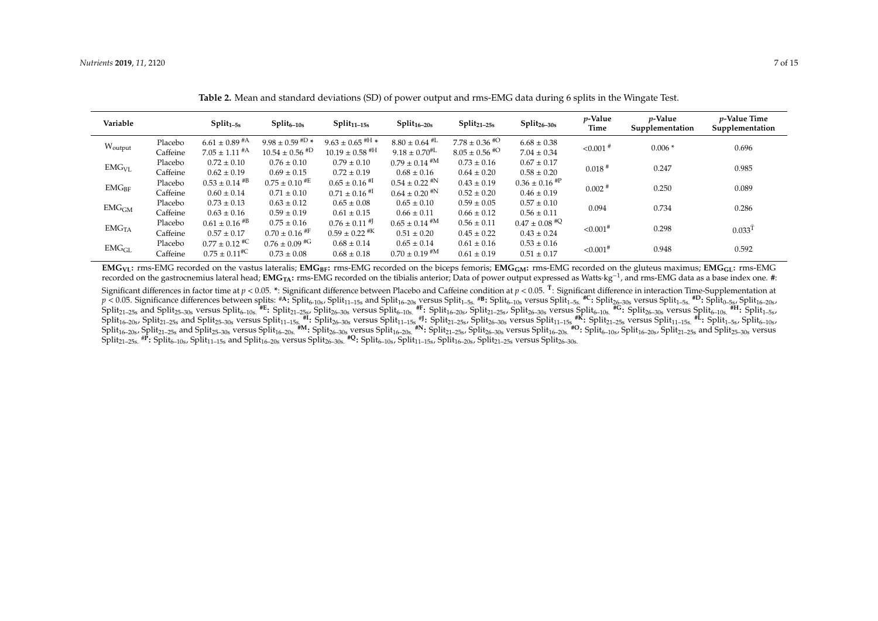| Variable          |          | $Split_{1-5s}$                | $Split_{6-10s}$                | $Split_{11-15s}$              | $Split_{16-20s}$     | $Split_{21-25s}$   | $Split_{26-30s}$              | <i>p</i> -Value<br>Time | <i>p</i> -Value<br>Supplementation | <i>p</i> -Value Time<br>Supplementation |
|-------------------|----------|-------------------------------|--------------------------------|-------------------------------|----------------------|--------------------|-------------------------------|-------------------------|------------------------------------|-----------------------------------------|
| Woutput           | Placebo  | $6.61 \pm 0.89$ <sup>#A</sup> | $9.98 \pm 0.59$ #D *           | $9.63 \pm 0.65$ #H *          | $8.80 \pm 0.64$ #L   | $7.78 \pm 0.36$ #O | $6.68 \pm 0.38$               |                         | $0.006*$                           | 0.696                                   |
|                   | Caffeine | $7.05 \pm 1.11$ <sup>#A</sup> | $10.54 \pm 0.56$ <sup>#D</sup> | $10.19 \pm 0.58$ #H           | $9.18 \pm 0.70^{#L}$ | $8.05 \pm 0.56$ #O | $7.04 \pm 0.34$               | $< 0.001$ <sup>#</sup>  |                                    |                                         |
| EMG <sub>VI</sub> | Placebo  | $0.72 \pm 0.10$               | $0.76 \pm 0.10$                | $0.79 \pm 0.10$               | $0.79 \pm 0.14$ #M   | $0.73 \pm 0.16$    | $0.67 \pm 0.17$               |                         | 0.247                              | 0.985                                   |
|                   | Caffeine | $0.62 \pm 0.19$               | $0.69 \pm 0.15$                | $0.72 \pm 0.19$               | $0.68 \pm 0.16$      | $0.64 \pm 0.20$    | $0.58 \pm 0.20$               | $0.018$ <sup>#</sup>    |                                    |                                         |
| $EMG_{BF}$        | Placebo  | $0.53 \pm 0.14$ #B            | $0.75 \pm 0.10$ #E             | $0.65 \pm 0.16$ <sup>#I</sup> | $0.54 \pm 0.22$ #N   | $0.43 \pm 0.19$    | $0.36 \pm 0.16$ <sup>#P</sup> | $0.002$ #               | 0.250                              | 0.089                                   |
|                   | Caffeine | $0.60 \pm 0.14$               | $0.71 \pm 0.10$                | $0.71 \pm 0.16$ <sup>#1</sup> | $0.64 \pm 0.20$ #N   | $0.52 \pm 0.20$    | $0.46 \pm 0.19$               |                         |                                    |                                         |
| EMG <sub>GM</sub> | Placebo  | $0.73 \pm 0.13$               | $0.63 \pm 0.12$                | $0.65 \pm 0.08$               | $0.65 \pm 0.10$      | $0.59 \pm 0.05$    | $0.57 \pm 0.10$               | 0.094                   | 0.734                              | 0.286                                   |
|                   | Caffeine | $0.63 \pm 0.16$               | $0.59 \pm 0.19$                | $0.61 \pm 0.15$               | $0.66 \pm 0.11$      | $0.66 \pm 0.12$    | $0.56 \pm 0.11$               |                         |                                    |                                         |
| EMG <sub>TA</sub> | Placebo  | $0.61 \pm 0.16$ #B            | $0.75 \pm 0.16$                | $0.76 \pm 0.11$ <sup>#J</sup> | $0.65 \pm 0.14$ #M   | $0.56 \pm 0.11$    | $0.47 \pm 0.08$ <sup>#Q</sup> |                         | 0.298                              | $0.033$ <sup>T</sup>                    |
|                   | Caffeine | $0.57 \pm 0.17$               | $0.70 \pm 0.16$ #F             | $0.59 \pm 0.22$ <sup>#K</sup> | $0.51 \pm 0.20$      | $0.45 \pm 0.22$    | $0.43 \pm 0.24$               | $< 0.001$ <sup>#</sup>  |                                    |                                         |
| EMG <sub>GL</sub> | Placebo  | $0.77 \pm 0.12$ #C            | $0.76 \pm 0.09$ #G             | $0.68 \pm 0.14$               | $0.65 \pm 0.14$      | $0.61 \pm 0.16$    | $0.53 \pm 0.16$               |                         | 0.948                              | 0.592                                   |
|                   | Caffeine | $0.75 \pm 0.11$ <sup>#C</sup> | $0.73 \pm 0.08$                | $0.68 \pm 0.18$               | $0.70 \pm 0.19$ #M   | $0.61 \pm 0.19$    | $0.51 \pm 0.17$               | ${<}0.001$ <sup>#</sup> |                                    |                                         |

**Table 2.** Mean and standard deviations (SD) of power output and rms-EMG data during 6 splits in the Wingate Test.

 $EMG_{VI}$ : rms-EMG recorded on the vastus lateralis; EMG<sub>BF</sub>: rms-EMG recorded on the biceps femoris; EMG<sub>GM</sub>: rms-EMG recorded on the gluteus maximus; EMG<sub>GL</sub>: rms-EMG recorded on the gastrocnemius lateral head; **EMGTA:** rms-EMG recorded on the tibialis anterior; Data of power output expressed as Watts·kg−<sup>1</sup> , and rms-EMG data as a base index one. **#**: Significant differences in factor time at *p* < 0.05. <sup>\*</sup>: Significant difference between Placebo and Caffeine condition at *p* < 0.05. <sup>T</sup>: Significant difference in interaction Time-Supplementation at  $p < 0.05$ . Significance differences between splits: #A: Split<sub>6-10s</sub>, Split<sub>11–15s</sub> and Split<sub>16-20s</sub> versus Split<sub>155s.</sub> #B: Split<sub>6-10s</sub> versus Split<sub>1–5s.</sub> #C: Split<sub>26-30s</sub> versus Split<sub>1–5s.</sub> #D: Split<sub>0–5s</sub>, Split<sub>0</sub>  $\mathrm{Split}_{21\text{-}25s}$  and  $\mathrm{Split}_{5\text{-}30s}$  versus  $\mathrm{Split}_{6\text{-}10s}$ .  $^{\#E}\colon\mathrm{Split}_{21\text{-}25s}$ ,  $\mathrm{Split}_{26\text{-}30s}$  versus  $\mathrm{Split}_{6\text{-}10s}$ .  $^{\#F}\colon\mathrm{Split}_{16\text{-}20s}$ ,  $\mathrm{Split}_{21\text{-}25s}$ ,  $\mathrm{Split}_{21\text{-}25s}$ ,  $\mathrm{Split}_{26\text{-}30s}$  versus  ${\rm Split}_{16-20s}$ ,  ${\rm Split}_{21-25s}$  and  ${\rm Split}_{25-30s}$  versus  ${\rm Split}_{11-15s}$   $\substack{11.5s \text{ odd}}}$ :  ${\rm Split}_{26-30s}$  versus  ${\rm Split}_{11-15s}$   $\substack{39.5s \text{ odd}}}$ .  ${\rm Split}_{21-25s}$ ,  ${\rm Split}_{24-30s}$  versus  ${\rm Split}_{11-15s}$   $\substack{80.5s \text{ odd}}}$ .  ${\rm Split}_{21-25s}$   ${\rm Split}_{16-20s}$ ,  ${\rm Split}_{21-25s}$  and  ${\rm Split}_{25-30s}$  versus  ${\rm Split}_{16-20s}$ .  $^{*M}$  :  ${\rm Split}_{26-30s}$  versus  ${\rm Split}_{16-20s}$ .  $^{*N}$  :  ${\rm Split}_{21-25s}$ ,  ${\rm Split}_{26-30s}$  versus  ${\rm Split}_{16-20s}$ .  $^{*O}$  :  ${\rm Split}_{16-20s}$ ,  ${\rm Split}_{16-20s}$ ,  ${\rm Split}_{25-$ 

<span id="page-6-0"></span> $\text{Split}_{21-25\text{s}}$ .  $^{\text{IP}}$ **:**  $\text{Split}_{10-8}$ ,  $\text{Split}_{11-15\text{s}}$  and  $\text{Split}_{16-20\text{s}}$  versus  $\text{Split}_{26-30\text{s}}$ .  $^{\text{fl}}$   $^{\text{Q}}$ :  $\text{Split}_{10-10\text{s}}$ ,  $\text{Split}_{11-15\text{s}}$ ,  $\text{Split}_{11-25\text{s}}$  versus  $\text{Split}_{26-30\text{s}}$ .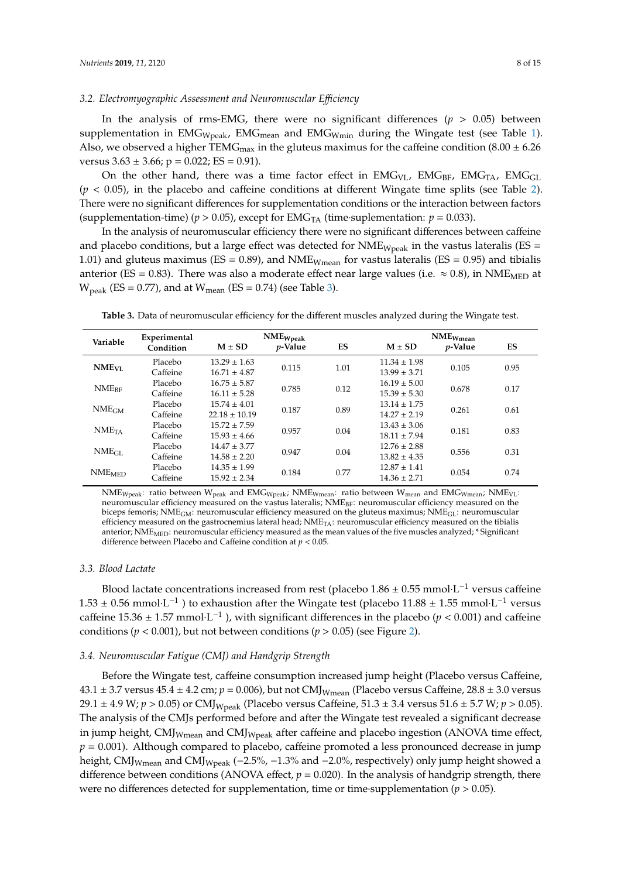#### *3.2. Electromyographic Assessment and Neuromuscular E*ffi*ciency*

In the analysis of rms-EMG, there were no significant differences  $(p > 0.05)$  between supplementation in  $EMG_{Wpeak}$ ,  $EMG_{mean}$  and  $EMG_{Wmin}$  during the Wingate test (see Table [1\)](#page-5-0). Also, we observed a higher TEMG<sub>max</sub> in the gluteus maximus for the caffeine condition (8.00  $\pm$  6.26 versus  $3.63 \pm 3.66$ ;  $p = 0.022$ ; ES = 0.91).

On the other hand, there was a time factor effect in  $EMG_{VL}$ ,  $EMG_{BF}$ ,  $EMG_{TA}$ ,  $EMG_{GL}$  $(p < 0.05)$ , in the placebo and caffeine conditions at different Wingate time splits (see Table [2\)](#page-6-0). There were no significant differences for supplementation conditions or the interaction between factors (supplementation-time) ( $p > 0.05$ ), except for  $EMG<sub>TA</sub>$  (time suplementation:  $p = 0.033$ ).

In the analysis of neuromuscular efficiency there were no significant differences between caffeine and placebo conditions, but a large effect was detected for  $NME_{Wpeak}$  in the vastus lateralis (ES = 1.01) and gluteus maximus ( $ES = 0.89$ ), and NME<sub>Wmean</sub> for vastus lateralis ( $ES = 0.95$ ) and tibialis anterior (ES = 0.83). There was also a moderate effect near large values (i.e.  $\approx$  0.8), in NME<sub>MED</sub> at  $W_{\text{peak}}$  (ES = 0.77), and at  $W_{\text{mean}}$  (ES = 0.74) (see Table [3\)](#page-7-0).

<span id="page-7-0"></span>**Table 3.** Data of neuromuscular efficiency for the different muscles analyzed during the Wingate test.

|                               | Experimental |                   | $NME_{Wpeak}$   |      | $NME_{Wmean}$    |                 |      |  |
|-------------------------------|--------------|-------------------|-----------------|------|------------------|-----------------|------|--|
| Variable                      | Condition    | $M \pm SD$        | <i>p</i> -Value | ES   | $M \pm SD$       | <i>p</i> -Value | ES   |  |
| <b>NME<sub>VI</sub></b>       | Placebo      | $13.29 \pm 1.63$  | 0.115           | 1.01 | $11.34 \pm 1.98$ | 0.105           | 0.95 |  |
|                               | Caffeine     | $16.71 \pm 4.87$  |                 |      | $13.99 \pm 3.71$ |                 |      |  |
| $NME_{BF}$                    | Placebo      | $16.75 \pm 5.87$  |                 |      | $16.19 \pm 5.00$ | 0.678           | 0.17 |  |
|                               | Caffeine     | $16.11 \pm 5.28$  | 0.785           | 0.12 | $15.39 \pm 5.30$ |                 |      |  |
| NME <sub>GM</sub>             | Placebo      | $15.74 \pm 4.01$  |                 |      | $13.14 \pm 1.75$ |                 | 0.61 |  |
|                               | Caffeine     | $22.18 \pm 10.19$ | 0.187           | 0.89 | $14.27 \pm 2.19$ | 0.261           |      |  |
| NME <sub>TA</sub>             | Placebo      | $15.72 \pm 7.59$  |                 |      | $13.43 \pm 3.06$ | 0.181           | 0.83 |  |
|                               | Caffeine     | $15.93 \pm 4.66$  | 0.957           | 0.04 | $18.11 \pm 7.94$ |                 |      |  |
| NME <sub>GL</sub>             | Placebo      | $14.47 \pm 3.77$  |                 |      | $12.76 \pm 2.88$ | 0.556           | 0.31 |  |
|                               | Caffeine     | $14.58 \pm 2.20$  | 0.947           | 0.04 | $13.82 \pm 4.35$ |                 |      |  |
| $\mathrm{NME}_{\mathrm{MED}}$ | Placebo      | $14.35 \pm 1.99$  |                 |      | $12.87 \pm 1.41$ | 0.054           | 0.74 |  |
|                               | Caffeine     | $15.92 \pm 2.34$  | 0.184           | 0.77 | $14.36 \pm 2.71$ |                 |      |  |

NME<sub>Wpeak</sub>: ratio between W<sub>peak</sub> and EMG<sub>Wpeak</sub>; NME<sub>Wmean</sub>: ratio between W<sub>mean</sub> and EMG<sub>Wmean</sub>; NME<sub>VL</sub>: neuromuscular efficiency measured on the vastus lateralis; NME<sub>BF</sub>: neuromuscular efficiency measured on the biceps femoris; NME<sub>GM</sub>: neuromuscular efficiency measured on the gluteus maximus; NME<sub>GL</sub>: neuromuscular efficiency measured on the gastrocnemius lateral head; NME<sub>TA</sub>: neuromuscular efficiency measured on the tibialis anterior; NME<sub>MED</sub>: neuromuscular efficiency measured as the mean values of the five muscles analyzed; \* Significant difference between Placebo and Caffeine condition at *p* < 0.05.

#### *3.3. Blood Lactate*

Blood lactate concentrations increased from rest (placebo  $1.86 \pm 0.55$  mmol·L<sup>-1</sup> versus caffeine 1.53 ± 0.56 mmol⋅L<sup>-1</sup>) to exhaustion after the Wingate test (placebo 11.88 ± 1.55 mmol⋅L<sup>-1</sup> versus caffeine 15.36  $\pm$  1.57 mmol·L<sup>-1</sup>), with significant differences in the placebo ( $p$  < 0.001) and caffeine conditions ( $p < 0.001$ ), but not between conditions ( $p > 0.05$ ) (see Figure [2\)](#page-8-0).

#### *3.4. Neuromuscular Fatigue (CMJ) and Handgrip Strength*

Before the Wingate test, caffeine consumption increased jump height (Placebo versus Caffeine,  $43.1 \pm 3.7$  versus  $45.4 \pm 4.2$  cm;  $p = 0.006$ ), but not CMJ<sub>Wmean</sub> (Placebo versus Caffeine,  $28.8 \pm 3.0$  versus 29.1 ± 4.9 W; *p* > 0.05) or CMJ<sub>Wpeak</sub> (Placebo versus Caffeine, 51.3 ± 3.4 versus 51.6 ± 5.7 W; *p* > 0.05). The analysis of the CMJs performed before and after the Wingate test revealed a significant decrease in jump height,  $CMJ_{Wmean}$  and  $CMJ_{Wpeak}$  after caffeine and placebo ingestion (ANOVA time effect,  $p = 0.001$ ). Although compared to placebo, caffeine promoted a less pronounced decrease in jump height, CMJ<sub>Wmean</sub> and CMJ<sub>Wpeak</sub> (−2.5%, −1.3% and −2.0%, respectively) only jump height showed a difference between conditions (ANOVA effect,  $p = 0.020$ ). In the analysis of handgrip strength, there were no differences detected for supplementation, time or time-supplementation ( $p > 0.05$ ).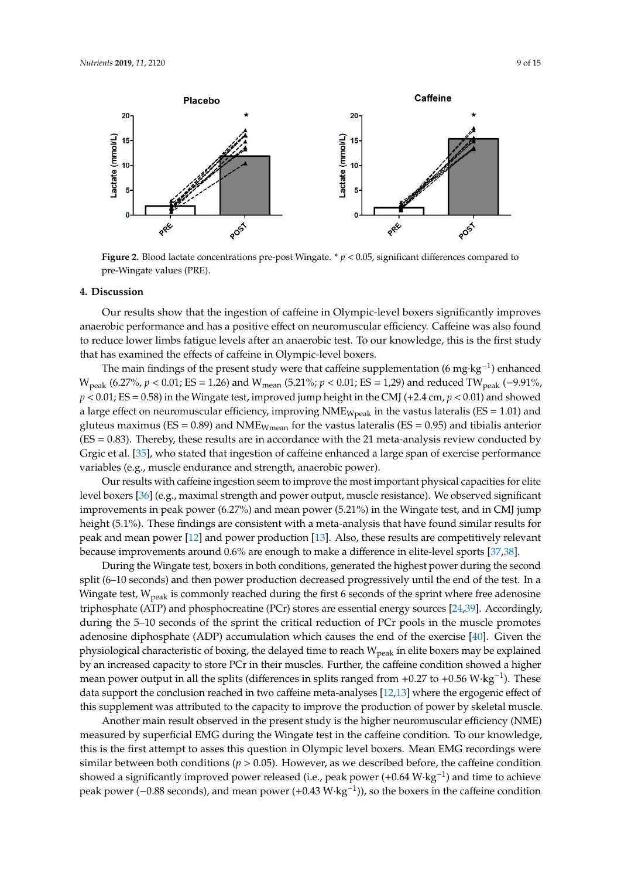<span id="page-8-0"></span>

**Figure 2.** Blood lactate concentrations pre-post Wingate. \* *p* < 0.05, significant differences compared to pre-Wingate values (PRE).

#### **4. Discussion**

Our results show that the ingestion of caffeine in Olympic-level boxers significantly improves anaerobic performance and has a positive effect on neuromuscular efficiency. Caffeine was also found to reduce lower limbs fatigue levels after an anaerobic test. To our knowledge, this is the first study that has examined the effects of caffeine in Olympic-level boxers.

The main findings of the present study were that caffeine supplementation (6 mg·kg<sup>-1</sup>) enhanced W<sub>peak</sub> (6.27%, *p* < 0.01; ES = 1.26) and W<sub>mean</sub> (5.21%; *p* < 0.01; ES = 1,29) and reduced TW<sub>peak</sub> (−9.91%,  $p < 0.01$ ; ES = 0.58) in the Wingate test, improved jump height in the CMJ (+2.4 cm,  $p < 0.01$ ) and showed a large effect on neuromuscular efficiency, improving  $NME_{Wpeak}$  in the vastus lateralis (ES = 1.01) and gluteus maximus ( $ES = 0.89$ ) and NME<sub>Wmean</sub> for the vastus lateralis ( $ES = 0.95$ ) and tibialis anterior (ES = 0.83). Thereby, these results are in accordance with the 21 meta-analysis review conducted by Grgic et al. [\[35\]](#page-12-25), who stated that ingestion of caffeine enhanced a large span of exercise performance variables (e.g., muscle endurance and strength, anaerobic power).

Our results with caffeine ingestion seem to improve the most important physical capacities for elite level boxers [\[36\]](#page-13-0) (e.g., maximal strength and power output, muscle resistance). We observed significant improvements in peak power (6.27%) and mean power (5.21%) in the Wingate test, and in CMJ jump height (5.1%). These findings are consistent with a meta-analysis that have found similar results for peak and mean power [\[12\]](#page-12-2) and power production [\[13\]](#page-12-3). Also, these results are competitively relevant because improvements around 0.6% are enough to make a difference in elite-level sports [\[37](#page-13-1)[,38\]](#page-13-2).

During the Wingate test, boxers in both conditions, generated the highest power during the second split (6–10 seconds) and then power production decreased progressively until the end of the test. In a Wingate test,  $W_{peak}$  is commonly reached during the first 6 seconds of the sprint where free adenosine triphosphate (ATP) and phosphocreatine (PCr) stores are essential energy sources [\[24,](#page-12-14)[39\]](#page-13-3). Accordingly, during the 5–10 seconds of the sprint the critical reduction of PCr pools in the muscle promotes adenosine diphosphate (ADP) accumulation which causes the end of the exercise [\[40\]](#page-13-4). Given the physiological characteristic of boxing, the delayed time to reach W<sub>peak</sub> in elite boxers may be explained by an increased capacity to store PCr in their muscles. Further, the caffeine condition showed a higher mean power output in all the splits (differences in splits ranged from +0.27 to +0.56 W·kg<sup>-1</sup>). These data support the conclusion reached in two caffeine meta-analyses [\[12](#page-12-2)[,13\]](#page-12-3) where the ergogenic effect of this supplement was attributed to the capacity to improve the production of power by skeletal muscle.

Another main result observed in the present study is the higher neuromuscular efficiency (NME) measured by superficial EMG during the Wingate test in the caffeine condition. To our knowledge, this is the first attempt to asses this question in Olympic level boxers. Mean EMG recordings were similar between both conditions ( $p > 0.05$ ). However, as we described before, the caffeine condition showed a significantly improved power released (i.e., peak power (+0.64 W·kg<sup>-1</sup>) and time to achieve peak power (–0.88 seconds), and mean power (+0.43 W·kg<sup>-1</sup>)), so the boxers in the caffeine condition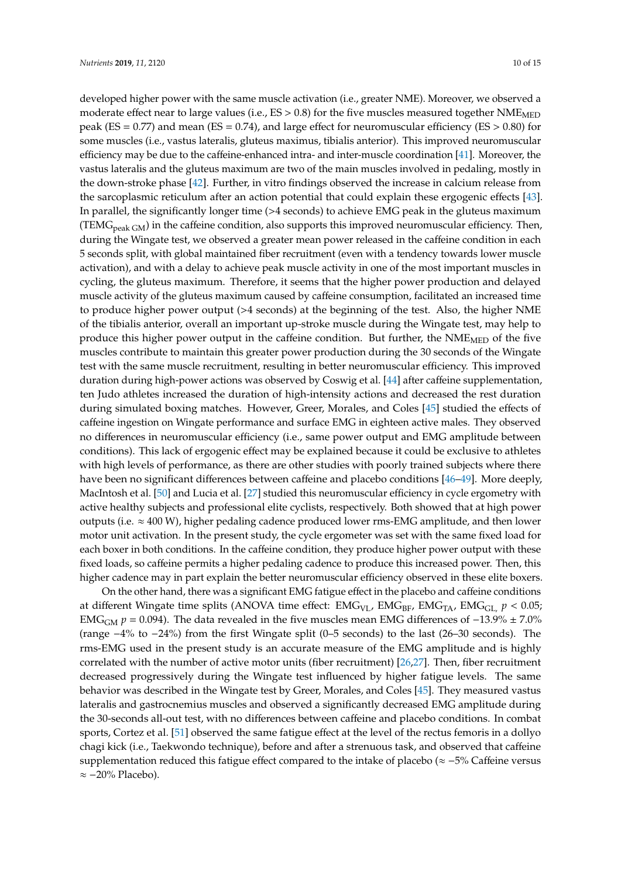developed higher power with the same muscle activation (i.e., greater NME). Moreover, we observed a moderate effect near to large values (i.e.,  $ES > 0.8$ ) for the five muscles measured together NME<sub>MED</sub> peak ( $ES = 0.77$ ) and mean ( $ES = 0.74$ ), and large effect for neuromuscular efficiency ( $ES > 0.80$ ) for some muscles (i.e., vastus lateralis, gluteus maximus, tibialis anterior). This improved neuromuscular efficiency may be due to the caffeine-enhanced intra- and inter-muscle coordination [\[41\]](#page-13-5). Moreover, the vastus lateralis and the gluteus maximum are two of the main muscles involved in pedaling, mostly in the down-stroke phase [\[42\]](#page-13-6). Further, in vitro findings observed the increase in calcium release from the sarcoplasmic reticulum after an action potential that could explain these ergogenic effects [\[43\]](#page-13-7). In parallel, the significantly longer time (>4 seconds) to achieve EMG peak in the gluteus maximum  $(TEMG<sub>peak GM</sub>)$  in the caffeine condition, also supports this improved neuromuscular efficiency. Then, during the Wingate test, we observed a greater mean power released in the caffeine condition in each 5 seconds split, with global maintained fiber recruitment (even with a tendency towards lower muscle activation), and with a delay to achieve peak muscle activity in one of the most important muscles in cycling, the gluteus maximum. Therefore, it seems that the higher power production and delayed muscle activity of the gluteus maximum caused by caffeine consumption, facilitated an increased time to produce higher power output (>4 seconds) at the beginning of the test. Also, the higher NME of the tibialis anterior, overall an important up-stroke muscle during the Wingate test, may help to produce this higher power output in the caffeine condition. But further, the  $NME<sub>MED</sub>$  of the five muscles contribute to maintain this greater power production during the 30 seconds of the Wingate test with the same muscle recruitment, resulting in better neuromuscular efficiency. This improved duration during high-power actions was observed by Coswig et al. [\[44\]](#page-13-8) after caffeine supplementation, ten Judo athletes increased the duration of high-intensity actions and decreased the rest duration during simulated boxing matches. However, Greer, Morales, and Coles [\[45\]](#page-13-9) studied the effects of caffeine ingestion on Wingate performance and surface EMG in eighteen active males. They observed no differences in neuromuscular efficiency (i.e., same power output and EMG amplitude between conditions). This lack of ergogenic effect may be explained because it could be exclusive to athletes with high levels of performance, as there are other studies with poorly trained subjects where there have been no significant differences between caffeine and placebo conditions [\[46–](#page-13-10)[49\]](#page-13-11). More deeply, MacIntosh et al. [\[50\]](#page-13-12) and Lucia et al. [\[27\]](#page-12-17) studied this neuromuscular efficiency in cycle ergometry with active healthy subjects and professional elite cyclists, respectively. Both showed that at high power outputs (i.e. ≈ 400 W), higher pedaling cadence produced lower rms-EMG amplitude, and then lower motor unit activation. In the present study, the cycle ergometer was set with the same fixed load for each boxer in both conditions. In the caffeine condition, they produce higher power output with these fixed loads, so caffeine permits a higher pedaling cadence to produce this increased power. Then, this higher cadence may in part explain the better neuromuscular efficiency observed in these elite boxers.

On the other hand, there was a significant EMG fatigue effect in the placebo and caffeine conditions at different Wingate time splits (ANOVA time effect:  $EMG_{VL}$ ,  $EMG_{BF}$ ,  $EMG_{TA}$ ,  $EMG_{GL}$ ,  $p < 0.05$ ; EMG<sub>GM</sub>  $p = 0.094$ ). The data revealed in the five muscles mean EMG differences of  $-13.9\% \pm 7.0\%$ (range −4% to −24%) from the first Wingate split (0–5 seconds) to the last (26–30 seconds). The rms-EMG used in the present study is an accurate measure of the EMG amplitude and is highly correlated with the number of active motor units (fiber recruitment) [\[26](#page-12-16)[,27\]](#page-12-17). Then, fiber recruitment decreased progressively during the Wingate test influenced by higher fatigue levels. The same behavior was described in the Wingate test by Greer, Morales, and Coles [\[45\]](#page-13-9). They measured vastus lateralis and gastrocnemius muscles and observed a significantly decreased EMG amplitude during the 30-seconds all-out test, with no differences between caffeine and placebo conditions. In combat sports, Cortez et al. [\[51\]](#page-13-13) observed the same fatigue effect at the level of the rectus femoris in a dollyo chagi kick (i.e., Taekwondo technique), before and after a strenuous task, and observed that caffeine supplementation reduced this fatigue effect compared to the intake of placebo ( $\approx$  -5% Caffeine versus ≈ −20% Placebo).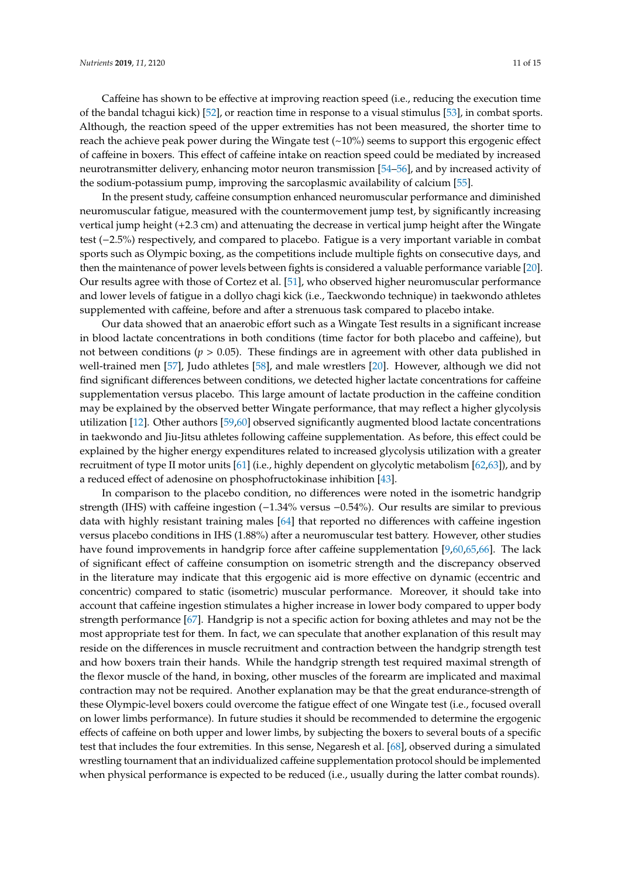Caffeine has shown to be effective at improving reaction speed (i.e., reducing the execution time of the bandal tchagui kick) [\[52\]](#page-13-14), or reaction time in response to a visual stimulus [\[53\]](#page-13-15), in combat sports. Although, the reaction speed of the upper extremities has not been measured, the shorter time to reach the achieve peak power during the Wingate test  $(\sim 10\%)$  seems to support this ergogenic effect of caffeine in boxers. This effect of caffeine intake on reaction speed could be mediated by increased neurotransmitter delivery, enhancing motor neuron transmission [\[54](#page-13-16)[–56\]](#page-13-17), and by increased activity of the sodium-potassium pump, improving the sarcoplasmic availability of calcium [\[55\]](#page-13-18).

In the present study, caffeine consumption enhanced neuromuscular performance and diminished neuromuscular fatigue, measured with the countermovement jump test, by significantly increasing vertical jump height (+2.3 cm) and attenuating the decrease in vertical jump height after the Wingate test (−2.5%) respectively, and compared to placebo. Fatigue is a very important variable in combat sports such as Olympic boxing, as the competitions include multiple fights on consecutive days, and then the maintenance of power levels between fights is considered a valuable performance variable [\[20\]](#page-12-10). Our results agree with those of Cortez et al. [\[51\]](#page-13-13), who observed higher neuromuscular performance and lower levels of fatigue in a dollyo chagi kick (i.e., Taeckwondo technique) in taekwondo athletes supplemented with caffeine, before and after a strenuous task compared to placebo intake.

Our data showed that an anaerobic effort such as a Wingate Test results in a significant increase in blood lactate concentrations in both conditions (time factor for both placebo and caffeine), but not between conditions ( $p > 0.05$ ). These findings are in agreement with other data published in well-trained men [\[57\]](#page-13-19), Judo athletes [\[58\]](#page-13-20), and male wrestlers [\[20\]](#page-12-10). However, although we did not find significant differences between conditions, we detected higher lactate concentrations for caffeine supplementation versus placebo. This large amount of lactate production in the caffeine condition may be explained by the observed better Wingate performance, that may reflect a higher glycolysis utilization [\[12\]](#page-12-2). Other authors [\[59,](#page-14-0)[60\]](#page-14-1) observed significantly augmented blood lactate concentrations in taekwondo and Jiu-Jitsu athletes following caffeine supplementation. As before, this effect could be explained by the higher energy expenditures related to increased glycolysis utilization with a greater recruitment of type II motor units [\[61\]](#page-14-2) (i.e., highly dependent on glycolytic metabolism [\[62,](#page-14-3)[63\]](#page-14-4)), and by a reduced effect of adenosine on phosphofructokinase inhibition [\[43\]](#page-13-7).

In comparison to the placebo condition, no differences were noted in the isometric handgrip strength (IHS) with caffeine ingestion (−1.34% versus −0.54%). Our results are similar to previous data with highly resistant training males [\[64\]](#page-14-5) that reported no differences with caffeine ingestion versus placebo conditions in IHS (1.88%) after a neuromuscular test battery. However, other studies have found improvements in handgrip force after caffeine supplementation [\[9](#page-11-6)[,60](#page-14-1)[,65](#page-14-6)[,66\]](#page-14-7). The lack of significant effect of caffeine consumption on isometric strength and the discrepancy observed in the literature may indicate that this ergogenic aid is more effective on dynamic (eccentric and concentric) compared to static (isometric) muscular performance. Moreover, it should take into account that caffeine ingestion stimulates a higher increase in lower body compared to upper body strength performance [\[67\]](#page-14-8). Handgrip is not a specific action for boxing athletes and may not be the most appropriate test for them. In fact, we can speculate that another explanation of this result may reside on the differences in muscle recruitment and contraction between the handgrip strength test and how boxers train their hands. While the handgrip strength test required maximal strength of the flexor muscle of the hand, in boxing, other muscles of the forearm are implicated and maximal contraction may not be required. Another explanation may be that the great endurance-strength of these Olympic-level boxers could overcome the fatigue effect of one Wingate test (i.e., focused overall on lower limbs performance). In future studies it should be recommended to determine the ergogenic effects of caffeine on both upper and lower limbs, by subjecting the boxers to several bouts of a specific test that includes the four extremities. In this sense, Negaresh et al. [\[68\]](#page-14-9), observed during a simulated wrestling tournament that an individualized caffeine supplementation protocol should be implemented when physical performance is expected to be reduced (i.e., usually during the latter combat rounds).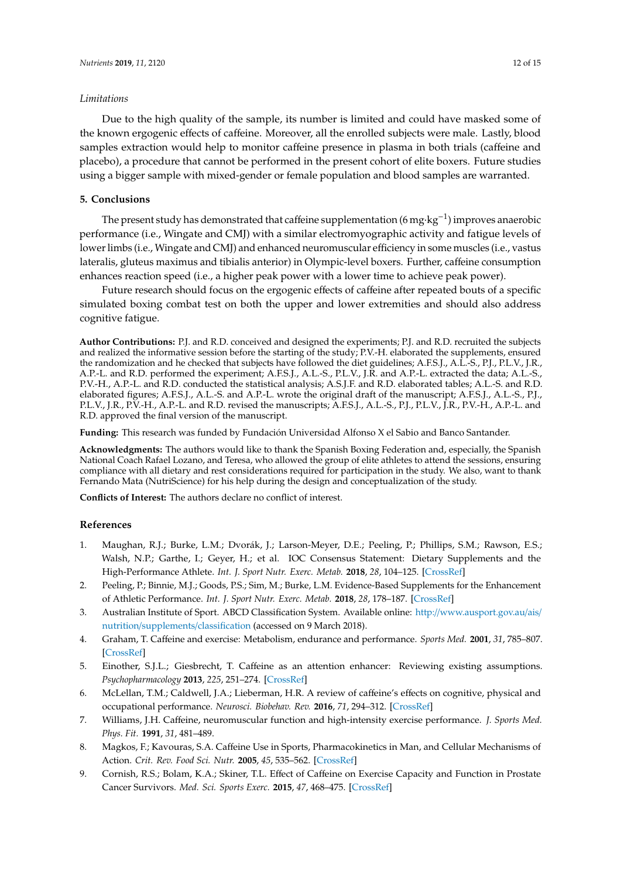#### *Limitations*

Due to the high quality of the sample, its number is limited and could have masked some of the known ergogenic effects of caffeine. Moreover, all the enrolled subjects were male. Lastly, blood samples extraction would help to monitor caffeine presence in plasma in both trials (caffeine and placebo), a procedure that cannot be performed in the present cohort of elite boxers. Future studies using a bigger sample with mixed-gender or female population and blood samples are warranted.

# **5. Conclusions**

The present study has demonstrated that caffeine supplementation (6 mg·kg<sup>-1</sup>) improves anaerobic performance (i.e., Wingate and CMJ) with a similar electromyographic activity and fatigue levels of lower limbs (i.e., Wingate and CMJ) and enhanced neuromuscular efficiency in some muscles (i.e., vastus lateralis, gluteus maximus and tibialis anterior) in Olympic-level boxers. Further, caffeine consumption enhances reaction speed (i.e., a higher peak power with a lower time to achieve peak power).

Future research should focus on the ergogenic effects of caffeine after repeated bouts of a specific simulated boxing combat test on both the upper and lower extremities and should also address cognitive fatigue.

**Author Contributions:** P.J. and R.D. conceived and designed the experiments; P.J. and R.D. recruited the subjects and realized the informative session before the starting of the study; P.V.-H. elaborated the supplements, ensured the randomization and he checked that subjects have followed the diet guidelines; A.F.S.J., A.L.-S., P.J., P.L.V., J.R., A.P.-L. and R.D. performed the experiment; A.F.S.J., A.L.-S., P.L.V., J.R. and A.P.-L. extracted the data; A.L.-S., P.V.-H., A.P.-L. and R.D. conducted the statistical analysis; A.S.J.F. and R.D. elaborated tables; A.L.-S. and R.D. elaborated figures; A.F.S.J., A.L.-S. and A.P.-L. wrote the original draft of the manuscript; A.F.S.J., A.L.-S., P.J., P.L.V., J.R., P.V.-H., A.P.-L. and R.D. revised the manuscripts; A.F.S.J., A.L.-S., P.J., P.L.V., J.R., P.V.-H., A.P.-L. and R.D. approved the final version of the manuscript.

**Funding:** This research was funded by Fundación Universidad Alfonso X el Sabio and Banco Santander.

**Acknowledgments:** The authors would like to thank the Spanish Boxing Federation and, especially, the Spanish National Coach Rafael Lozano, and Teresa, who allowed the group of elite athletes to attend the sessions, ensuring compliance with all dietary and rest considerations required for participation in the study. We also, want to thank Fernando Mata (NutriScience) for his help during the design and conceptualization of the study.

**Conflicts of Interest:** The authors declare no conflict of interest.

#### **References**

- <span id="page-11-0"></span>1. Maughan, R.J.; Burke, L.M.; Dvorák, J.; Larson-Meyer, D.E.; Peeling, P.; Phillips, S.M.; Rawson, E.S.; Walsh, N.P.; Garthe, I.; Geyer, H.; et al. IOC Consensus Statement: Dietary Supplements and the High-Performance Athlete. *Int. J. Sport Nutr. Exerc. Metab.* **2018**, *28*, 104–125. [\[CrossRef\]](http://dx.doi.org/10.1123/ijsnem.2018-0020)
- <span id="page-11-1"></span>2. Peeling, P.; Binnie, M.J.; Goods, P.S.; Sim, M.; Burke, L.M. Evidence-Based Supplements for the Enhancement of Athletic Performance. *Int. J. Sport Nutr. Exerc. Metab.* **2018**, *28*, 178–187. [\[CrossRef\]](http://dx.doi.org/10.1123/ijsnem.2017-0343)
- <span id="page-11-2"></span>3. Australian Institute of Sport. ABCD Classification System. Available online: http://[www.ausport.gov.au](http://www.ausport.gov.au/ais/nutrition/supplements/classification)/ais/ nutrition/[supplements](http://www.ausport.gov.au/ais/nutrition/supplements/classification)/classification (accessed on 9 March 2018).
- <span id="page-11-3"></span>4. Graham, T. Caffeine and exercise: Metabolism, endurance and performance. *Sports Med.* **2001**, *31*, 785–807. [\[CrossRef\]](http://dx.doi.org/10.2165/00007256-200131110-00002)
- 5. Einother, S.J.L.; Giesbrecht, T. Caffeine as an attention enhancer: Reviewing existing assumptions. *Psychopharmacology* **2013**, *225*, 251–274. [\[CrossRef\]](http://dx.doi.org/10.1007/s00213-012-2917-4)
- <span id="page-11-4"></span>6. McLellan, T.M.; Caldwell, J.A.; Lieberman, H.R. A review of caffeine's effects on cognitive, physical and occupational performance. *Neurosci. Biobehav. Rev.* **2016**, *71*, 294–312. [\[CrossRef\]](http://dx.doi.org/10.1016/j.neubiorev.2016.09.001)
- <span id="page-11-5"></span>7. Williams, J.H. Caffeine, neuromuscular function and high-intensity exercise performance. *J. Sports Med. Phys. Fit.* **1991**, *31*, 481–489.
- 8. Magkos, F.; Kavouras, S.A. Caffeine Use in Sports, Pharmacokinetics in Man, and Cellular Mechanisms of Action. *Crit. Rev. Food Sci. Nutr.* **2005**, *45*, 535–562. [\[CrossRef\]](http://dx.doi.org/10.1080/1040-830491379245)
- <span id="page-11-6"></span>9. Cornish, R.S.; Bolam, K.A.; Skiner, T.L. Effect of Caffeine on Exercise Capacity and Function in Prostate Cancer Survivors. *Med. Sci. Sports Exerc.* **2015**, *47*, 468–475. [\[CrossRef\]](http://dx.doi.org/10.1249/MSS.0000000000000429)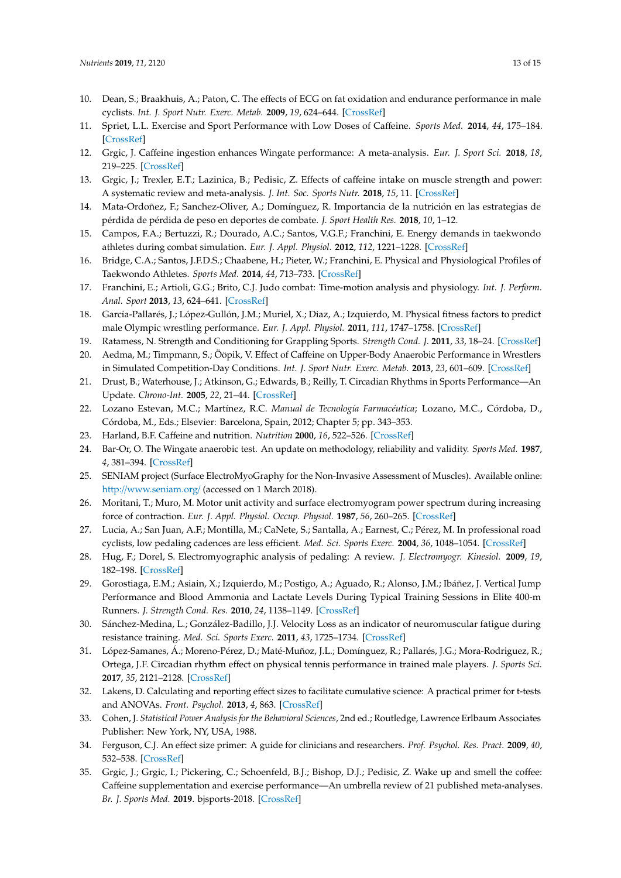- <span id="page-12-0"></span>10. Dean, S.; Braakhuis, A.; Paton, C. The effects of ECG on fat oxidation and endurance performance in male cyclists. *Int. J. Sport Nutr. Exerc. Metab.* **2009**, *19*, 624–644. [\[CrossRef\]](http://dx.doi.org/10.1123/ijsnem.19.6.624)
- <span id="page-12-1"></span>11. Spriet, L.L. Exercise and Sport Performance with Low Doses of Caffeine. *Sports Med.* **2014**, *44*, 175–184. [\[CrossRef\]](http://dx.doi.org/10.1007/s40279-014-0257-8)
- <span id="page-12-2"></span>12. Grgic, J. Caffeine ingestion enhances Wingate performance: A meta-analysis. *Eur. J. Sport Sci.* **2018**, *18*, 219–225. [\[CrossRef\]](http://dx.doi.org/10.1080/17461391.2017.1394371)
- <span id="page-12-3"></span>13. Grgic, J.; Trexler, E.T.; Lazinica, B.; Pedisic, Z. Effects of caffeine intake on muscle strength and power: A systematic review and meta-analysis. *J. Int. Soc. Sports Nutr.* **2018**, *15*, 11. [\[CrossRef\]](http://dx.doi.org/10.1186/s12970-018-0216-0)
- <span id="page-12-4"></span>14. Mata-Ordoñez, F.; Sanchez-Oliver, A.; Domínguez, R. Importancia de la nutrición en las estrategias de pérdida de pérdida de peso en deportes de combate. *J. Sport Health Res.* **2018**, *10*, 1–12.
- <span id="page-12-5"></span>15. Campos, F.A.; Bertuzzi, R.; Dourado, A.C.; Santos, V.G.F.; Franchini, E. Energy demands in taekwondo athletes during combat simulation. *Eur. J. Appl. Physiol.* **2012**, *112*, 1221–1228. [\[CrossRef\]](http://dx.doi.org/10.1007/s00421-011-2071-4)
- <span id="page-12-6"></span>16. Bridge, C.A.; Santos, J.F.D.S.; Chaabene, H.; Pieter, W.; Franchini, E. Physical and Physiological Profiles of Taekwondo Athletes. *Sports Med.* **2014**, *44*, 713–733. [\[CrossRef\]](http://dx.doi.org/10.1007/s40279-014-0159-9)
- <span id="page-12-7"></span>17. Franchini, E.; Artioli, G.G.; Brito, C.J. Judo combat: Time-motion analysis and physiology. *Int. J. Perform. Anal. Sport* **2013**, *13*, 624–641. [\[CrossRef\]](http://dx.doi.org/10.1080/24748668.2013.11868676)
- <span id="page-12-8"></span>18. García-Pallarés, J.; López-Gullón, J.M.; Muriel, X.; Diaz, A.; Izquierdo, M. Physical fitness factors to predict male Olympic wrestling performance. *Eur. J. Appl. Physiol.* **2011**, *111*, 1747–1758. [\[CrossRef\]](http://dx.doi.org/10.1007/s00421-010-1809-8)
- <span id="page-12-9"></span>19. Ratamess, N. Strength and Conditioning for Grappling Sports. *Strength Cond. J.* **2011**, *33*, 18–24. [\[CrossRef\]](http://dx.doi.org/10.1519/SSC.0b013e31823732c5)
- <span id="page-12-10"></span>20. Aedma, M.; Timpmann, S.; Ööpik, V. Effect of Caffeine on Upper-Body Anaerobic Performance in Wrestlers in Simulated Competition-Day Conditions. *Int. J. Sport Nutr. Exerc. Metab.* **2013**, *23*, 601–609. [\[CrossRef\]](http://dx.doi.org/10.1123/ijsnem.23.6.601)
- <span id="page-12-11"></span>21. Drust, B.; Waterhouse, J.; Atkinson, G.; Edwards, B.; Reilly, T. Circadian Rhythms in Sports Performance—An Update. *Chrono-Int.* **2005**, *22*, 21–44. [\[CrossRef\]](http://dx.doi.org/10.1081/CBI-200041039)
- <span id="page-12-12"></span>22. Lozano Estevan, M.C.; Martínez, R.C. *Manual de Tecnología Farmacéutica*; Lozano, M.C., Córdoba, D., Córdoba, M., Eds.; Elsevier: Barcelona, Spain, 2012; Chapter 5; pp. 343–353.
- <span id="page-12-13"></span>23. Harland, B.F. Caffeine and nutrition. *Nutrition* **2000**, *16*, 522–526. [\[CrossRef\]](http://dx.doi.org/10.1016/S0899-9007(00)00369-5)
- <span id="page-12-14"></span>24. Bar-Or, O. The Wingate anaerobic test. An update on methodology, reliability and validity. *Sports Med.* **1987**, *4*, 381–394. [\[CrossRef\]](http://dx.doi.org/10.2165/00007256-198704060-00001)
- <span id="page-12-15"></span>25. SENIAM project (Surface ElectroMyoGraphy for the Non-Invasive Assessment of Muscles). Available online: http://[www.seniam.org](http://www.seniam.org/)/ (accessed on 1 March 2018).
- <span id="page-12-16"></span>26. Moritani, T.; Muro, M. Motor unit activity and surface electromyogram power spectrum during increasing force of contraction. *Eur. J. Appl. Physiol. Occup. Physiol.* **1987**, *56*, 260–265. [\[CrossRef\]](http://dx.doi.org/10.1007/BF00690890)
- <span id="page-12-17"></span>27. Lucia, A.; San Juan, A.F.; Montilla, M.; CaNete, S.; Santalla, A.; Earnest, C.; Pérez, M. In professional road cyclists, low pedaling cadences are less efficient. *Med. Sci. Sports Exerc.* **2004**, *36*, 1048–1054. [\[CrossRef\]](http://dx.doi.org/10.1249/01.MSS.0000128249.10305.8A)
- <span id="page-12-18"></span>28. Hug, F.; Dorel, S. Electromyographic analysis of pedaling: A review. *J. Electromyogr. Kinesiol.* **2009**, *19*, 182–198. [\[CrossRef\]](http://dx.doi.org/10.1016/j.jelekin.2007.10.010)
- <span id="page-12-19"></span>29. Gorostiaga, E.M.; Asiain, X.; Izquierdo, M.; Postigo, A.; Aguado, R.; Alonso, J.M.; Ibáñez, J. Vertical Jump Performance and Blood Ammonia and Lactate Levels During Typical Training Sessions in Elite 400-m Runners. *J. Strength Cond. Res.* **2010**, *24*, 1138–1149. [\[CrossRef\]](http://dx.doi.org/10.1519/JSC.0b013e3181cf769f)
- <span id="page-12-20"></span>30. Sánchez-Medina, L.; González-Badillo, J.J. Velocity Loss as an indicator of neuromuscular fatigue during resistance training. *Med. Sci. Sports Exerc.* **2011**, *43*, 1725–1734. [\[CrossRef\]](http://dx.doi.org/10.1249/MSS.0b013e318213f880)
- <span id="page-12-21"></span>31. López-Samanes, Á.; Moreno-Pérez, D.; Maté-Muñoz, J.L.; Domínguez, R.; Pallarés, J.G.; Mora-Rodriguez, R.; Ortega, J.F. Circadian rhythm effect on physical tennis performance in trained male players. *J. Sports Sci.* **2017**, *35*, 2121–2128. [\[CrossRef\]](http://dx.doi.org/10.1080/02640414.2016.1258481)
- <span id="page-12-22"></span>32. Lakens, D. Calculating and reporting effect sizes to facilitate cumulative science: A practical primer for t-tests and ANOVAs. *Front. Psychol.* **2013**, *4*, 863. [\[CrossRef\]](http://dx.doi.org/10.3389/fpsyg.2013.00863)
- <span id="page-12-23"></span>33. Cohen, J. *Statistical Power Analysis for the Behavioral Sciences*, 2nd ed.; Routledge, Lawrence Erlbaum Associates Publisher: New York, NY, USA, 1988.
- <span id="page-12-24"></span>34. Ferguson, C.J. An effect size primer: A guide for clinicians and researchers. *Prof. Psychol. Res. Pract.* **2009**, *40*, 532–538. [\[CrossRef\]](http://dx.doi.org/10.1037/a0015808)
- <span id="page-12-25"></span>35. Grgic, J.; Grgic, I.; Pickering, C.; Schoenfeld, B.J.; Bishop, D.J.; Pedisic, Z. Wake up and smell the coffee: Caffeine supplementation and exercise performance—An umbrella review of 21 published meta-analyses. *Br. J. Sports Med.* **2019**. bjsports-2018. [\[CrossRef\]](http://dx.doi.org/10.3389/fpsyg.2013.00863)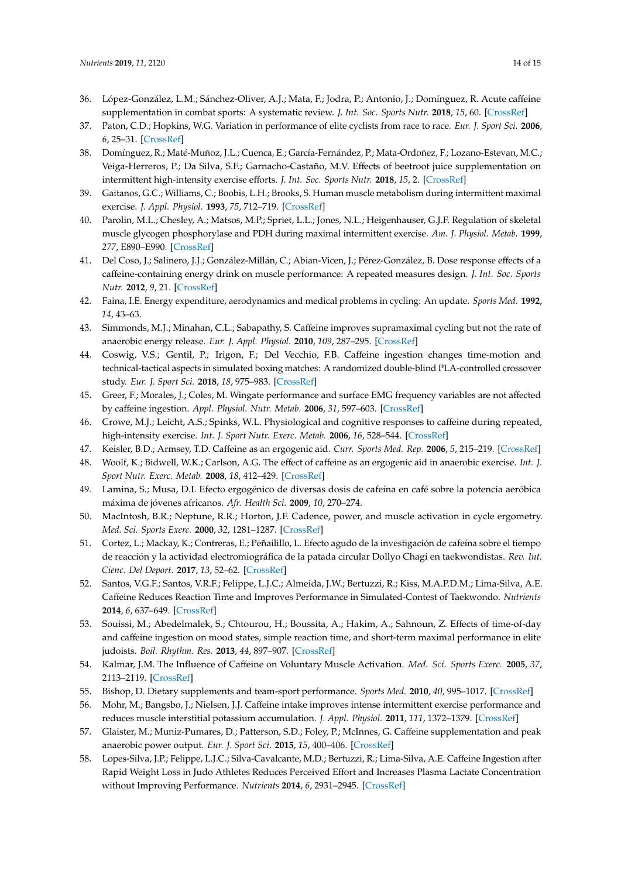- <span id="page-13-0"></span>36. López-González, L.M.; Sánchez-Oliver, A.J.; Mata, F.; Jodra, P.; Antonio, J.; Domínguez, R. Acute caffeine supplementation in combat sports: A systematic review. *J. Int. Soc. Sports Nutr.* **2018**, *15*, 60. [\[CrossRef\]](http://dx.doi.org/10.1186/s12970-018-0267-2)
- <span id="page-13-1"></span>37. Paton, C.D.; Hopkins, W.G. Variation in performance of elite cyclists from race to race. *Eur. J. Sport Sci.* **2006**, *6*, 25–31. [\[CrossRef\]](http://dx.doi.org/10.1080/17461390500422796)
- <span id="page-13-2"></span>38. Domínguez, R.; Maté-Muñoz, J.L.; Cuenca, E.; García-Fernández, P.; Mata-Ordoñez, F.; Lozano-Estevan, M.C.; Veiga-Herreros, P.; Da Silva, S.F.; Garnacho-Castaño, M.V. Effects of beetroot juice supplementation on intermittent high-intensity exercise efforts. *J. Int. Soc. Sports Nutr.* **2018**, *15*, 2. [\[CrossRef\]](http://dx.doi.org/10.1186/s12970-017-0204-9)
- <span id="page-13-3"></span>39. Gaitanos, G.C.; Williams, C.; Boobis, L.H.; Brooks, S. Human muscle metabolism during intermittent maximal exercise. *J. Appl. Physiol.* **1993**, *75*, 712–719. [\[CrossRef\]](http://dx.doi.org/10.1152/jappl.1993.75.2.712)
- <span id="page-13-4"></span>40. Parolin, M.L.; Chesley, A.; Matsos, M.P.; Spriet, L.L.; Jones, N.L.; Heigenhauser, G.J.F. Regulation of skeletal muscle glycogen phosphorylase and PDH during maximal intermittent exercise. *Am. J. Physiol. Metab.* **1999**, *277*, E890–E990. [\[CrossRef\]](http://dx.doi.org/10.1152/ajpendo.1999.277.5.E890)
- <span id="page-13-5"></span>41. Del Coso, J.; Salinero, J.J.; González-Millán, C.; Abian-Vicen, J.; Pérez-González, B. Dose response effects of a caffeine-containing energy drink on muscle performance: A repeated measures design. *J. Int. Soc. Sports Nutr.* **2012**, *9*, 21. [\[CrossRef\]](http://dx.doi.org/10.1186/1550-2783-9-21)
- <span id="page-13-6"></span>42. Faina, I.E. Energy expenditure, aerodynamics and medical problems in cycling: An update. *Sports Med.* **1992**, *14*, 43–63.
- <span id="page-13-7"></span>43. Simmonds, M.J.; Minahan, C.L.; Sabapathy, S. Caffeine improves supramaximal cycling but not the rate of anaerobic energy release. *Eur. J. Appl. Physiol.* **2010**, *109*, 287–295. [\[CrossRef\]](http://dx.doi.org/10.1007/s00421-009-1351-8)
- <span id="page-13-8"></span>44. Coswig, V.S.; Gentil, P.; Irigon, F.; Del Vecchio, F.B. Caffeine ingestion changes time-motion and technical-tactical aspects in simulated boxing matches: A randomized double-blind PLA-controlled crossover study. *Eur. J. Sport Sci.* **2018**, *18*, 975–983. [\[CrossRef\]](http://dx.doi.org/10.1080/17461391.2018.1465599)
- <span id="page-13-9"></span>45. Greer, F.; Morales, J.; Coles, M. Wingate performance and surface EMG frequency variables are not affected by caffeine ingestion. *Appl. Physiol. Nutr. Metab.* **2006**, *31*, 597–603. [\[CrossRef\]](http://dx.doi.org/10.1139/h06-030)
- <span id="page-13-10"></span>46. Crowe, M.J.; Leicht, A.S.; Spinks, W.L. Physiological and cognitive responses to caffeine during repeated, high-intensity exercise. *Int. J. Sport Nutr. Exerc. Metab.* **2006**, *16*, 528–544. [\[CrossRef\]](http://dx.doi.org/10.1123/ijsnem.16.5.528)
- 47. Keisler, B.D.; Armsey, T.D. Caffeine as an ergogenic aid. *Curr. Sports Med. Rep.* **2006**, *5*, 215–219. [\[CrossRef\]](http://dx.doi.org/10.1097/01.CSMR.0000306510.57644.a7)
- 48. Woolf, K.; Bidwell, W.K.; Carlson, A.G. The effect of caffeine as an ergogenic aid in anaerobic exercise. *Int. J. Sport Nutr. Exerc. Metab.* **2008**, *18*, 412–429. [\[CrossRef\]](http://dx.doi.org/10.1123/ijsnem.18.4.412)
- <span id="page-13-11"></span>49. Lamina, S.; Musa, D.I. Efecto ergogénico de diversas dosis de cafeína en café sobre la potencia aeróbica máxima de jóvenes africanos. *Afr. Health Sci.* **2009**, *10*, 270–274.
- <span id="page-13-12"></span>50. MacIntosh, B.R.; Neptune, R.R.; Horton, J.F. Cadence, power, and muscle activation in cycle ergometry. *Med. Sci. Sports Exerc.* **2000**, *32*, 1281–1287. [\[CrossRef\]](http://dx.doi.org/10.1097/00005768-200007000-00015)
- <span id="page-13-13"></span>51. Cortez, L.; Mackay, K.; Contreras, E.; Peñailillo, L. Efecto agudo de la investigación de cafeína sobre el tiempo de reacción y la actividad electromiográfica de la patada circular Dollyo Chagi en taekwondistas. *Rev. Int. Cienc. Del Deport.* **2017**, *13*, 52–62. [\[CrossRef\]](http://dx.doi.org/10.5232/ricyde2017.04704)
- <span id="page-13-14"></span>52. Santos, V.G.F.; Santos, V.R.F.; Felippe, L.J.C.; Almeida, J.W.; Bertuzzi, R.; Kiss, M.A.P.D.M.; Lima-Silva, A.E. Caffeine Reduces Reaction Time and Improves Performance in Simulated-Contest of Taekwondo. *Nutrients* **2014**, *6*, 637–649. [\[CrossRef\]](http://dx.doi.org/10.3390/nu6020637)
- <span id="page-13-15"></span>53. Souissi, M.; Abedelmalek, S.; Chtourou, H.; Boussita, A.; Hakim, A.; Sahnoun, Z. Effects of time-of-day and caffeine ingestion on mood states, simple reaction time, and short-term maximal performance in elite judoists. *Boil. Rhythm. Res.* **2013**, *44*, 897–907. [\[CrossRef\]](http://dx.doi.org/10.1080/09291016.2013.780700)
- <span id="page-13-16"></span>54. Kalmar, J.M. The Influence of Caffeine on Voluntary Muscle Activation. *Med. Sci. Sports Exerc.* **2005**, *37*, 2113–2119. [\[CrossRef\]](http://dx.doi.org/10.1249/01.mss.0000178219.18086.9e)
- <span id="page-13-18"></span>55. Bishop, D. Dietary supplements and team-sport performance. *Sports Med.* **2010**, *40*, 995–1017. [\[CrossRef\]](http://dx.doi.org/10.2165/11536870-000000000-00000)
- <span id="page-13-17"></span>56. Mohr, M.; Bangsbo, J.; Nielsen, J.J. Caffeine intake improves intense intermittent exercise performance and reduces muscle interstitial potassium accumulation. *J. Appl. Physiol.* **2011**, *111*, 1372–1379. [\[CrossRef\]](http://dx.doi.org/10.1152/japplphysiol.01028.2010)
- <span id="page-13-19"></span>57. Glaister, M.; Muniz-Pumares, D.; Patterson, S.D.; Foley, P.; McInnes, G. Caffeine supplementation and peak anaerobic power output. *Eur. J. Sport Sci.* **2015**, *15*, 400–406. [\[CrossRef\]](http://dx.doi.org/10.1080/17461391.2014.962619)
- <span id="page-13-20"></span>58. Lopes-Silva, J.P.; Felippe, L.J.C.; Silva-Cavalcante, M.D.; Bertuzzi, R.; Lima-Silva, A.E. Caffeine Ingestion after Rapid Weight Loss in Judo Athletes Reduces Perceived Effort and Increases Plasma Lactate Concentration without Improving Performance. *Nutrients* **2014**, *6*, 2931–2945. [\[CrossRef\]](http://dx.doi.org/10.3390/nu6072931)